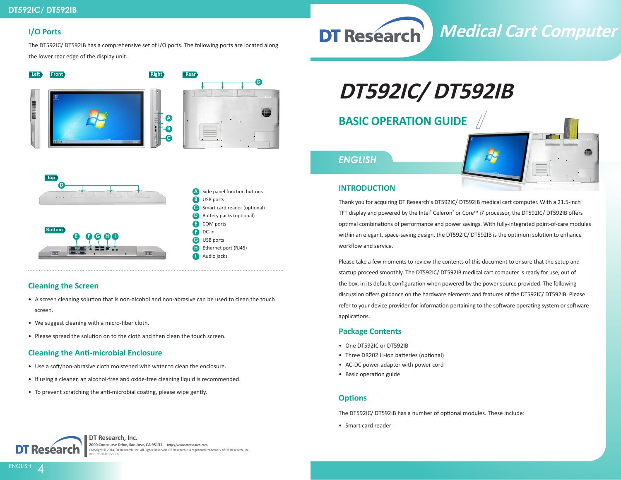#### **I/O Ports**

The DT592IC/ DT592IB has a comprehensive set of I/O ports. The following ports are located along the lower rear edge of the display unit.







- **A** Side panel function buttons **B** USB ports **C** Smart card reader (optional) **D E** COM ports **F G H** Ethernet port (RJ45) Battery packs (optional) DC-in USB ports
- **I** Audio jacks

### **Cleaning the Screen**

- A screen cleaning solution that is non-alcohol and non-abrasive can be used to clean the touch screen.
- We suggest cleaning with a micro-fiber cloth.
- Please spread the solution on to the cloth and then clean the touch screen.

#### **Cleaning the Anti-microbial Enclosure**

- Use a soft/non-abrasive cloth moistened with water to clean the enclosure.
- If using a cleaner, an alcohol-free and oxide-free cleaning liquid is recommended.
- To prevent scratching the anti-microbial coating, please wipe gently.

# **DT592IC/ DT592IB**

## **BASIC OPERATION GUIDE**

# *ENGLISH*



**Medical Cart Computer**

#### **INTRODUCTION**

**DT Research** 

Thank you for acquiring DT Research's DT592IC/ DT592IB medical cart computer. With a 21.5-inch TFT display and powered by the Intel® Celeron® or Core™ i7 processor, the DT592IC/ DT592IB offers optimal combinations of performance and power savings. With fully-integrated point-of-care modules within an elegant, space-saving design, the DT592IC/ DT592IB is the optimum solution to enhance workflow and service.

Please take a few moments to review the contents of this document to ensure that the setup and startup proceed smoothly. The DT592IC/ DT592IB medical cart computer is ready for use, out of the box, in its default configuration when powered by the power source provided. The following discussion offers guidance on the hardware elements and features of the DT592IC/ DT592IB. Please refer to your device provider for information pertaining to the software operating system or software applications.

### **Package Contents**

- One DT592IC or DT592IB
- Three DR202 Li-ion batteries (optional)
- AC-DC power adapter with power cord
- Basic operation guide

#### **Options**

The DT592IC/ DT592IB has a number of optional modules. These include:

• Smart card reader



**ENGLISH** 

**DT Research, Inc. 2000 Concourse Drive, San Jose, CA 95131 http://www.dtresearch.com** Copyright © 2014, DT Research, Inc. All Rights Reserved. DT Research is a registered trademark of DT Research, Inc. BOG091014DT590ENG